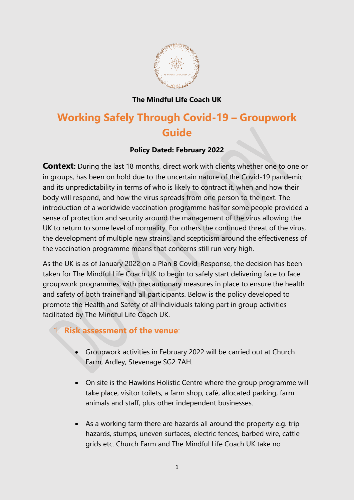

## **The Mindful Life Coach UK**

# **Working Safely Through Covid-19 – Groupwork Guide**

### **Policy Dated: February 2022**

**Context:** During the last 18 months, direct work with clients whether one to one or in groups, has been on hold due to the uncertain nature of the Covid-19 pandemic and its unpredictability in terms of who is likely to contract it, when and how their body will respond, and how the virus spreads from one person to the next. The introduction of a worldwide vaccination programme has for some people provided a sense of protection and security around the management of the virus allowing the UK to return to some level of normality. For others the continued threat of the virus, the development of multiple new strains, and scepticism around the effectiveness of the vaccination programme means that concerns still run very high.

As the UK is as of January 2022 on a Plan B Covid-Response, the decision has been taken for The Mindful Life Coach UK to begin to safely start delivering face to face groupwork programmes, with precautionary measures in place to ensure the health and safety of both trainer and all participants. Below is the policy developed to promote the Health and Safety of all individuals taking part in group activities facilitated by The Mindful Life Coach UK.

## 1. **Risk assessment of the venue**:

- Groupwork activities in February 2022 will be carried out at Church Farm, Ardley, Stevenage SG2 7AH.
- On site is the Hawkins Holistic Centre where the group programme will take place, visitor toilets, a farm shop, café, allocated parking, farm animals and staff, plus other independent businesses.
- As a working farm there are hazards all around the property e.g. trip hazards, stumps, uneven surfaces, electric fences, barbed wire, cattle grids etc. Church Farm and The Mindful Life Coach UK take no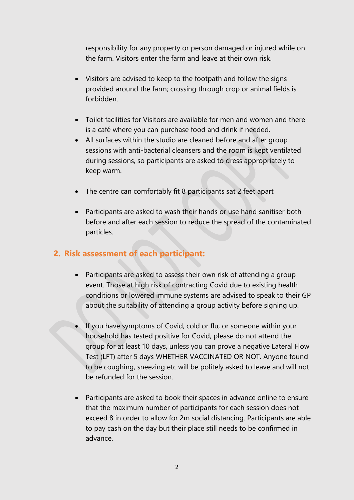responsibility for any property or person damaged or injured while on the farm. Visitors enter the farm and leave at their own risk.

- Visitors are advised to keep to the footpath and follow the signs provided around the farm; crossing through crop or animal fields is forbidden.
- Toilet facilities for Visitors are available for men and women and there is a café where you can purchase food and drink if needed.
- All surfaces within the studio are cleaned before and after group sessions with anti-bacterial cleansers and the room is kept ventilated during sessions, so participants are asked to dress appropriately to keep warm.
- The centre can comfortably fit 8 participants sat 2 feet apart
- Participants are asked to wash their hands or use hand sanitiser both before and after each session to reduce the spread of the contaminated particles.

## **2. Risk assessment of each participant:**

- Participants are asked to assess their own risk of attending a group event. Those at high risk of contracting Covid due to existing health conditions or lowered immune systems are advised to speak to their GP about the suitability of attending a group activity before signing up.
- If you have symptoms of Covid, cold or flu, or someone within your household has tested positive for Covid, please do not attend the group for at least 10 days, unless you can prove a negative Lateral Flow Test (LFT) after 5 days WHETHER VACCINATED OR NOT. Anyone found to be coughing, sneezing etc will be politely asked to leave and will not be refunded for the session.
- Participants are asked to book their spaces in advance online to ensure that the maximum number of participants for each session does not exceed 8 in order to allow for 2m social distancing. Participants are able to pay cash on the day but their place still needs to be confirmed in advance.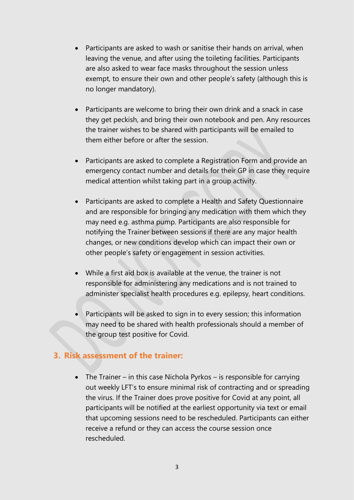- Participants are asked to wash or sanitise their hands on arrival, when leaving the venue, and after using the toileting facilities. Participants are also asked to wear face masks throughout the session unless exempt, to ensure their own and other people's safety (although this is no longer mandatory).
- Participants are welcome to bring their own drink and a snack in case they get peckish, and bring their own notebook and pen. Any resources the trainer wishes to be shared with participants will be emailed to them either before or after the session.
- Participants are asked to complete a Registration Form and provide an emergency contact number and details for their GP in case they require medical attention whilst taking part in a group activity.
- Participants are asked to complete a Health and Safety Questionnaire and are responsible for bringing any medication with them which they may need e.g. asthma pump. Participants are also responsible for notifying the Trainer between sessions if there are any major health changes, or new conditions develop which can impact their own or other people's safety or engagement in session activities.
- While a first aid box is available at the venue, the trainer is not responsible for administering any medications and is not trained to administer specialist health procedures e.g. epilepsy, heart conditions.
- Participants will be asked to sign in to every session; this information may need to be shared with health professionals should a member of the group test positive for Covid.

### **3. Risk assessment of the trainer:**

• The Trainer – in this case Nichola Pyrkos – is responsible for carrying out weekly LFT's to ensure minimal risk of contracting and or spreading the virus. If the Trainer does prove positive for Covid at any point, all participants will be notified at the earliest opportunity via text or email that upcoming sessions need to be rescheduled. Participants can either receive a refund or they can access the course session once rescheduled.